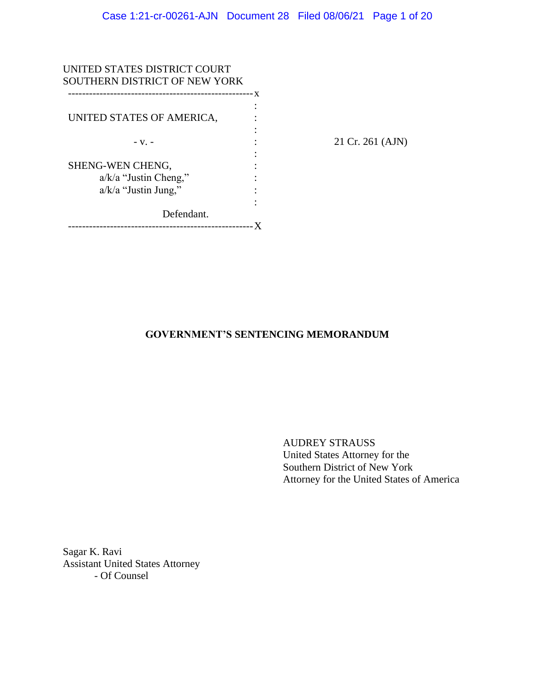| UNITED STATES DISTRICT COURT<br>SOUTHERN DISTRICT OF NEW YORK |   |        |
|---------------------------------------------------------------|---|--------|
| UNITED STATES OF AMERICA,                                     | X |        |
| $-V. -$                                                       |   | 21 Cr. |
| SHENG-WEN CHENG,<br>$a/k/a$ "Justin Cheng,"                   |   |        |
| $a/k/a$ "Justin Jung,"<br>Defendant.                          |   |        |
| ---------------------------------                             |   |        |

261 (AJN)

# **GOVERNMENT'S SENTENCING MEMORANDUM**

AUDREY STRAUSS United States Attorney for the Southern District of New York Attorney for the United States of America

Sagar K. Ravi Assistant United States Attorney - Of Counsel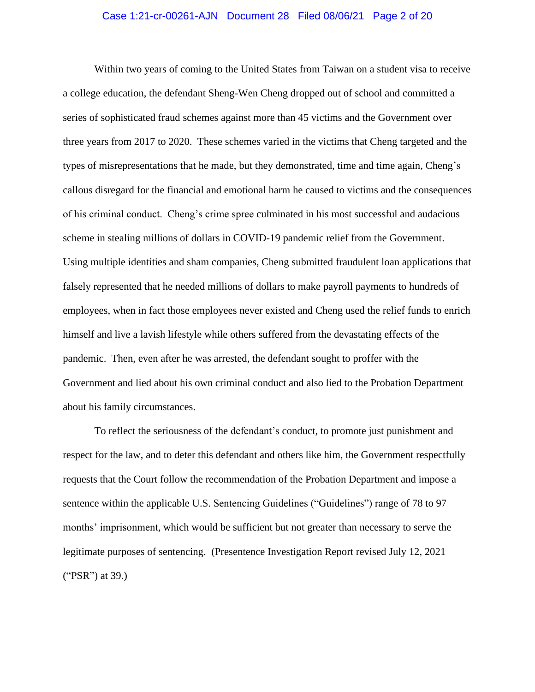#### Case 1:21-cr-00261-AJN Document 28 Filed 08/06/21 Page 2 of 20

Within two years of coming to the United States from Taiwan on a student visa to receive a college education, the defendant Sheng-Wen Cheng dropped out of school and committed a series of sophisticated fraud schemes against more than 45 victims and the Government over three years from 2017 to 2020. These schemes varied in the victims that Cheng targeted and the types of misrepresentations that he made, but they demonstrated, time and time again, Cheng's callous disregard for the financial and emotional harm he caused to victims and the consequences of his criminal conduct. Cheng's crime spree culminated in his most successful and audacious scheme in stealing millions of dollars in COVID-19 pandemic relief from the Government. Using multiple identities and sham companies, Cheng submitted fraudulent loan applications that falsely represented that he needed millions of dollars to make payroll payments to hundreds of employees, when in fact those employees never existed and Cheng used the relief funds to enrich himself and live a lavish lifestyle while others suffered from the devastating effects of the pandemic. Then, even after he was arrested, the defendant sought to proffer with the Government and lied about his own criminal conduct and also lied to the Probation Department about his family circumstances.

To reflect the seriousness of the defendant's conduct, to promote just punishment and respect for the law, and to deter this defendant and others like him, the Government respectfully requests that the Court follow the recommendation of the Probation Department and impose a sentence within the applicable U.S. Sentencing Guidelines ("Guidelines") range of 78 to 97 months' imprisonment, which would be sufficient but not greater than necessary to serve the legitimate purposes of sentencing. (Presentence Investigation Report revised July 12, 2021 ("PSR") at 39.)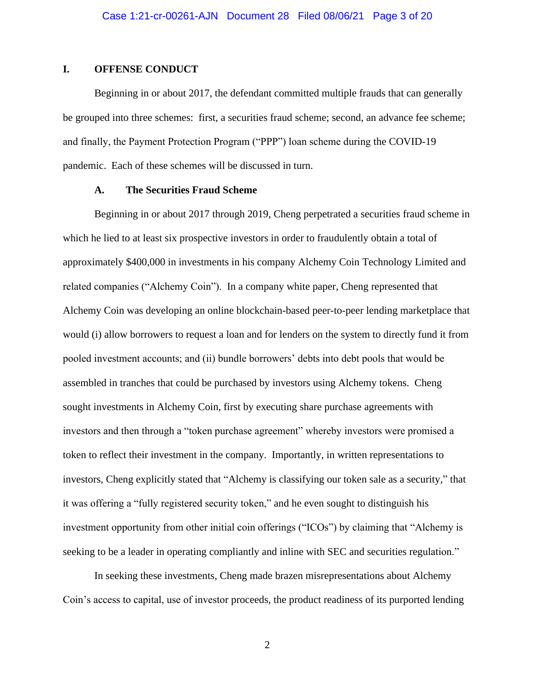## **I. OFFENSE CONDUCT**

Beginning in or about 2017, the defendant committed multiple frauds that can generally be grouped into three schemes: first, a securities fraud scheme; second, an advance fee scheme; and finally, the Payment Protection Program ("PPP") loan scheme during the COVID-19 pandemic. Each of these schemes will be discussed in turn.

### **A. The Securities Fraud Scheme**

Beginning in or about 2017 through 2019, Cheng perpetrated a securities fraud scheme in which he lied to at least six prospective investors in order to fraudulently obtain a total of approximately \$400,000 in investments in his company Alchemy Coin Technology Limited and related companies ("Alchemy Coin"). In a company white paper, Cheng represented that Alchemy Coin was developing an online blockchain-based peer-to-peer lending marketplace that would (i) allow borrowers to request a loan and for lenders on the system to directly fund it from pooled investment accounts; and (ii) bundle borrowers' debts into debt pools that would be assembled in tranches that could be purchased by investors using Alchemy tokens. Cheng sought investments in Alchemy Coin, first by executing share purchase agreements with investors and then through a "token purchase agreement" whereby investors were promised a token to reflect their investment in the company. Importantly, in written representations to investors, Cheng explicitly stated that "Alchemy is classifying our token sale as a security," that it was offering a "fully registered security token," and he even sought to distinguish his investment opportunity from other initial coin offerings ("ICOs") by claiming that "Alchemy is seeking to be a leader in operating compliantly and inline with SEC and securities regulation."

In seeking these investments, Cheng made brazen misrepresentations about Alchemy Coin's access to capital, use of investor proceeds, the product readiness of its purported lending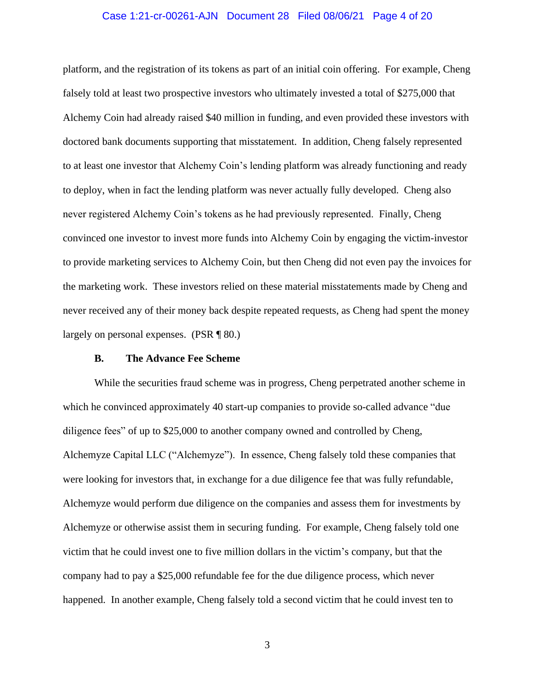#### Case 1:21-cr-00261-AJN Document 28 Filed 08/06/21 Page 4 of 20

platform, and the registration of its tokens as part of an initial coin offering. For example, Cheng falsely told at least two prospective investors who ultimately invested a total of \$275,000 that Alchemy Coin had already raised \$40 million in funding, and even provided these investors with doctored bank documents supporting that misstatement. In addition, Cheng falsely represented to at least one investor that Alchemy Coin's lending platform was already functioning and ready to deploy, when in fact the lending platform was never actually fully developed. Cheng also never registered Alchemy Coin's tokens as he had previously represented. Finally, Cheng convinced one investor to invest more funds into Alchemy Coin by engaging the victim-investor to provide marketing services to Alchemy Coin, but then Cheng did not even pay the invoices for the marketing work. These investors relied on these material misstatements made by Cheng and never received any of their money back despite repeated requests, as Cheng had spent the money largely on personal expenses. (PSR ¶ 80.)

### **B. The Advance Fee Scheme**

While the securities fraud scheme was in progress, Cheng perpetrated another scheme in which he convinced approximately 40 start-up companies to provide so-called advance "due diligence fees" of up to \$25,000 to another company owned and controlled by Cheng, Alchemyze Capital LLC ("Alchemyze"). In essence, Cheng falsely told these companies that were looking for investors that, in exchange for a due diligence fee that was fully refundable, Alchemyze would perform due diligence on the companies and assess them for investments by Alchemyze or otherwise assist them in securing funding. For example, Cheng falsely told one victim that he could invest one to five million dollars in the victim's company, but that the company had to pay a \$25,000 refundable fee for the due diligence process, which never happened. In another example, Cheng falsely told a second victim that he could invest ten to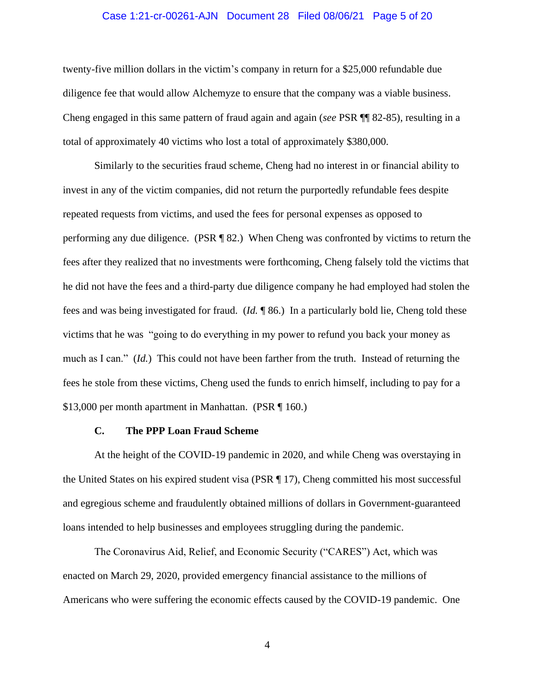#### Case 1:21-cr-00261-AJN Document 28 Filed 08/06/21 Page 5 of 20

twenty-five million dollars in the victim's company in return for a \$25,000 refundable due diligence fee that would allow Alchemyze to ensure that the company was a viable business. Cheng engaged in this same pattern of fraud again and again (*see* PSR ¶¶ 82-85), resulting in a total of approximately 40 victims who lost a total of approximately \$380,000.

Similarly to the securities fraud scheme, Cheng had no interest in or financial ability to invest in any of the victim companies, did not return the purportedly refundable fees despite repeated requests from victims, and used the fees for personal expenses as opposed to performing any due diligence. (PSR ¶ 82.) When Cheng was confronted by victims to return the fees after they realized that no investments were forthcoming, Cheng falsely told the victims that he did not have the fees and a third-party due diligence company he had employed had stolen the fees and was being investigated for fraud. (*Id.* ¶ 86.) In a particularly bold lie, Cheng told these victims that he was "going to do everything in my power to refund you back your money as much as I can." (*Id.*) This could not have been farther from the truth. Instead of returning the fees he stole from these victims, Cheng used the funds to enrich himself, including to pay for a \$13,000 per month apartment in Manhattan. (PSR ¶ 160.)

## **C. The PPP Loan Fraud Scheme**

At the height of the COVID-19 pandemic in 2020, and while Cheng was overstaying in the United States on his expired student visa (PSR ¶ 17), Cheng committed his most successful and egregious scheme and fraudulently obtained millions of dollars in Government-guaranteed loans intended to help businesses and employees struggling during the pandemic.

The Coronavirus Aid, Relief, and Economic Security ("CARES") Act, which was enacted on March 29, 2020, provided emergency financial assistance to the millions of Americans who were suffering the economic effects caused by the COVID-19 pandemic. One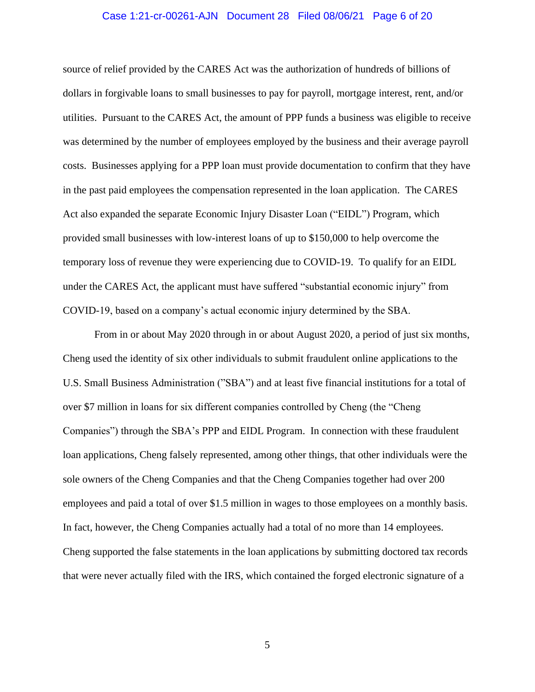#### Case 1:21-cr-00261-AJN Document 28 Filed 08/06/21 Page 6 of 20

source of relief provided by the CARES Act was the authorization of hundreds of billions of dollars in forgivable loans to small businesses to pay for payroll, mortgage interest, rent, and/or utilities. Pursuant to the CARES Act, the amount of PPP funds a business was eligible to receive was determined by the number of employees employed by the business and their average payroll costs. Businesses applying for a PPP loan must provide documentation to confirm that they have in the past paid employees the compensation represented in the loan application. The CARES Act also expanded the separate Economic Injury Disaster Loan ("EIDL") Program, which provided small businesses with low-interest loans of up to \$150,000 to help overcome the temporary loss of revenue they were experiencing due to COVID-19. To qualify for an EIDL under the CARES Act, the applicant must have suffered "substantial economic injury" from COVID-19, based on a company's actual economic injury determined by the SBA.

From in or about May 2020 through in or about August 2020, a period of just six months, Cheng used the identity of six other individuals to submit fraudulent online applications to the U.S. Small Business Administration ("SBA") and at least five financial institutions for a total of over \$7 million in loans for six different companies controlled by Cheng (the "Cheng Companies") through the SBA's PPP and EIDL Program. In connection with these fraudulent loan applications, Cheng falsely represented, among other things, that other individuals were the sole owners of the Cheng Companies and that the Cheng Companies together had over 200 employees and paid a total of over \$1.5 million in wages to those employees on a monthly basis. In fact, however, the Cheng Companies actually had a total of no more than 14 employees. Cheng supported the false statements in the loan applications by submitting doctored tax records that were never actually filed with the IRS, which contained the forged electronic signature of a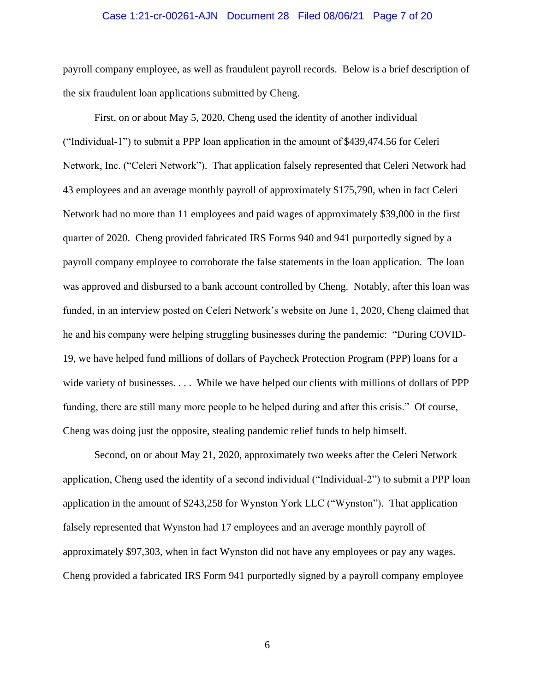#### Case 1:21-cr-00261-AJN Document 28 Filed 08/06/21 Page 7 of 20

payroll company employee, as well as fraudulent payroll records. Below is a brief description of the six fraudulent loan applications submitted by Cheng.

First, on or about May 5, 2020, Cheng used the identity of another individual ("Individual-1") to submit a PPP loan application in the amount of \$439,474.56 for Celeri Network, Inc. ("Celeri Network"). That application falsely represented that Celeri Network had 43 employees and an average monthly payroll of approximately \$175,790, when in fact Celeri Network had no more than 11 employees and paid wages of approximately \$39,000 in the first quarter of 2020. Cheng provided fabricated IRS Forms 940 and 941 purportedly signed by a payroll company employee to corroborate the false statements in the loan application. The loan was approved and disbursed to a bank account controlled by Cheng. Notably, after this loan was funded, in an interview posted on Celeri Network's website on June 1, 2020, Cheng claimed that he and his company were helping struggling businesses during the pandemic: "During COVID-19, we have helped fund millions of dollars of Paycheck Protection Program (PPP) loans for a wide variety of businesses. . . . While we have helped our clients with millions of dollars of PPP funding, there are still many more people to be helped during and after this crisis." Of course, Cheng was doing just the opposite, stealing pandemic relief funds to help himself.

Second, on or about May 21, 2020, approximately two weeks after the Celeri Network application, Cheng used the identity of a second individual ("Individual-2") to submit a PPP loan application in the amount of \$243,258 for Wynston York LLC ("Wynston"). That application falsely represented that Wynston had 17 employees and an average monthly payroll of approximately \$97,303, when in fact Wynston did not have any employees or pay any wages. Cheng provided a fabricated IRS Form 941 purportedly signed by a payroll company employee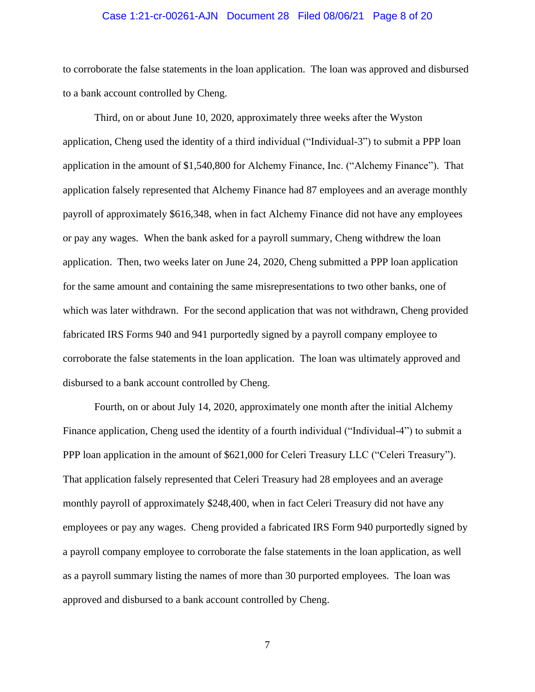#### Case 1:21-cr-00261-AJN Document 28 Filed 08/06/21 Page 8 of 20

to corroborate the false statements in the loan application. The loan was approved and disbursed to a bank account controlled by Cheng.

Third, on or about June 10, 2020, approximately three weeks after the Wyston application, Cheng used the identity of a third individual ("Individual-3") to submit a PPP loan application in the amount of \$1,540,800 for Alchemy Finance, Inc. ("Alchemy Finance"). That application falsely represented that Alchemy Finance had 87 employees and an average monthly payroll of approximately \$616,348, when in fact Alchemy Finance did not have any employees or pay any wages. When the bank asked for a payroll summary, Cheng withdrew the loan application. Then, two weeks later on June 24, 2020, Cheng submitted a PPP loan application for the same amount and containing the same misrepresentations to two other banks, one of which was later withdrawn. For the second application that was not withdrawn, Cheng provided fabricated IRS Forms 940 and 941 purportedly signed by a payroll company employee to corroborate the false statements in the loan application. The loan was ultimately approved and disbursed to a bank account controlled by Cheng.

Fourth, on or about July 14, 2020, approximately one month after the initial Alchemy Finance application, Cheng used the identity of a fourth individual ("Individual-4") to submit a PPP loan application in the amount of \$621,000 for Celeri Treasury LLC ("Celeri Treasury"). That application falsely represented that Celeri Treasury had 28 employees and an average monthly payroll of approximately \$248,400, when in fact Celeri Treasury did not have any employees or pay any wages. Cheng provided a fabricated IRS Form 940 purportedly signed by a payroll company employee to corroborate the false statements in the loan application, as well as a payroll summary listing the names of more than 30 purported employees. The loan was approved and disbursed to a bank account controlled by Cheng.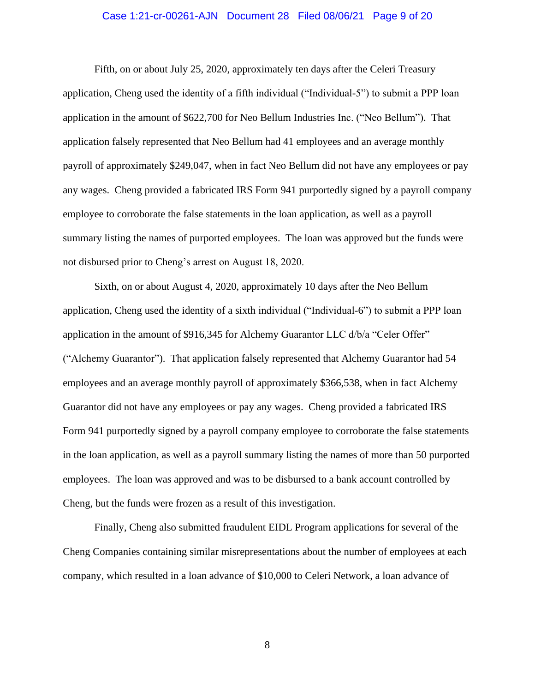#### Case 1:21-cr-00261-AJN Document 28 Filed 08/06/21 Page 9 of 20

Fifth, on or about July 25, 2020, approximately ten days after the Celeri Treasury application, Cheng used the identity of a fifth individual ("Individual-5") to submit a PPP loan application in the amount of \$622,700 for Neo Bellum Industries Inc. ("Neo Bellum"). That application falsely represented that Neo Bellum had 41 employees and an average monthly payroll of approximately \$249,047, when in fact Neo Bellum did not have any employees or pay any wages. Cheng provided a fabricated IRS Form 941 purportedly signed by a payroll company employee to corroborate the false statements in the loan application, as well as a payroll summary listing the names of purported employees. The loan was approved but the funds were not disbursed prior to Cheng's arrest on August 18, 2020.

Sixth, on or about August 4, 2020, approximately 10 days after the Neo Bellum application, Cheng used the identity of a sixth individual ("Individual-6") to submit a PPP loan application in the amount of \$916,345 for Alchemy Guarantor LLC d/b/a "Celer Offer" ("Alchemy Guarantor"). That application falsely represented that Alchemy Guarantor had 54 employees and an average monthly payroll of approximately \$366,538, when in fact Alchemy Guarantor did not have any employees or pay any wages. Cheng provided a fabricated IRS Form 941 purportedly signed by a payroll company employee to corroborate the false statements in the loan application, as well as a payroll summary listing the names of more than 50 purported employees. The loan was approved and was to be disbursed to a bank account controlled by Cheng, but the funds were frozen as a result of this investigation.

Finally, Cheng also submitted fraudulent EIDL Program applications for several of the Cheng Companies containing similar misrepresentations about the number of employees at each company, which resulted in a loan advance of \$10,000 to Celeri Network, a loan advance of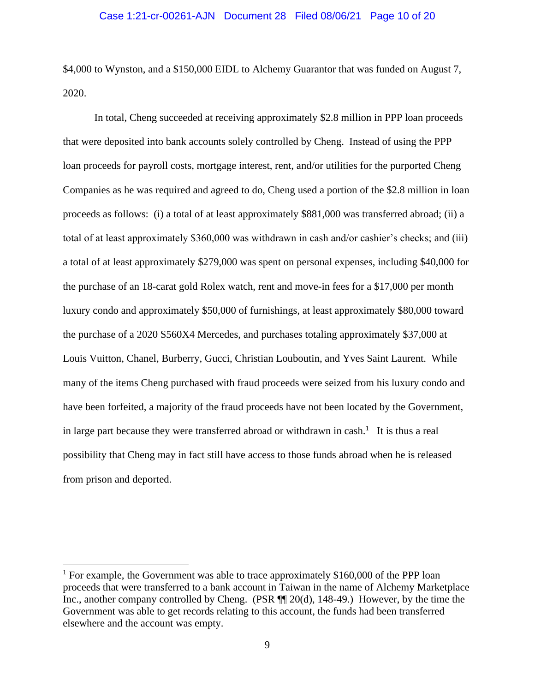\$4,000 to Wynston, and a \$150,000 EIDL to Alchemy Guarantor that was funded on August 7, 2020.

In total, Cheng succeeded at receiving approximately \$2.8 million in PPP loan proceeds that were deposited into bank accounts solely controlled by Cheng. Instead of using the PPP loan proceeds for payroll costs, mortgage interest, rent, and/or utilities for the purported Cheng Companies as he was required and agreed to do, Cheng used a portion of the \$2.8 million in loan proceeds as follows: (i) a total of at least approximately \$881,000 was transferred abroad; (ii) a total of at least approximately \$360,000 was withdrawn in cash and/or cashier's checks; and (iii) a total of at least approximately \$279,000 was spent on personal expenses, including \$40,000 for the purchase of an 18-carat gold Rolex watch, rent and move-in fees for a \$17,000 per month luxury condo and approximately \$50,000 of furnishings, at least approximately \$80,000 toward the purchase of a 2020 S560X4 Mercedes, and purchases totaling approximately \$37,000 at Louis Vuitton, Chanel, Burberry, Gucci, Christian Louboutin, and Yves Saint Laurent. While many of the items Cheng purchased with fraud proceeds were seized from his luxury condo and have been forfeited, a majority of the fraud proceeds have not been located by the Government, in large part because they were transferred abroad or withdrawn in cash.<sup>1</sup> It is thus a real possibility that Cheng may in fact still have access to those funds abroad when he is released from prison and deported.

<sup>&</sup>lt;sup>1</sup> For example, the Government was able to trace approximately \$160,000 of the PPP loan proceeds that were transferred to a bank account in Taiwan in the name of Alchemy Marketplace Inc., another company controlled by Cheng. (PSR ¶¶ 20(d), 148-49.) However, by the time the Government was able to get records relating to this account, the funds had been transferred elsewhere and the account was empty.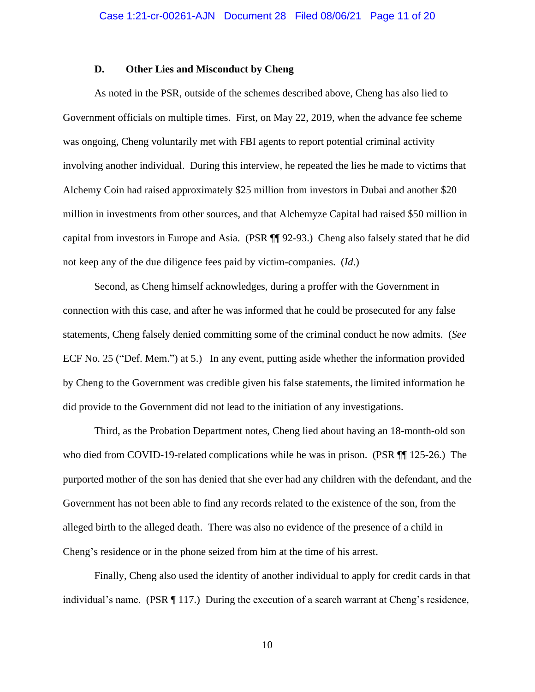#### **D. Other Lies and Misconduct by Cheng**

As noted in the PSR, outside of the schemes described above, Cheng has also lied to Government officials on multiple times. First, on May 22, 2019, when the advance fee scheme was ongoing, Cheng voluntarily met with FBI agents to report potential criminal activity involving another individual. During this interview, he repeated the lies he made to victims that Alchemy Coin had raised approximately \$25 million from investors in Dubai and another \$20 million in investments from other sources, and that Alchemyze Capital had raised \$50 million in capital from investors in Europe and Asia. (PSR ¶¶ 92-93.) Cheng also falsely stated that he did not keep any of the due diligence fees paid by victim-companies. (*Id*.)

Second, as Cheng himself acknowledges, during a proffer with the Government in connection with this case, and after he was informed that he could be prosecuted for any false statements, Cheng falsely denied committing some of the criminal conduct he now admits. (*See*  ECF No. 25 ("Def. Mem.") at 5.) In any event, putting aside whether the information provided by Cheng to the Government was credible given his false statements, the limited information he did provide to the Government did not lead to the initiation of any investigations.

Third, as the Probation Department notes, Cheng lied about having an 18-month-old son who died from COVID-19-related complications while he was in prison. (PSR ¶¶ 125-26.) The purported mother of the son has denied that she ever had any children with the defendant, and the Government has not been able to find any records related to the existence of the son, from the alleged birth to the alleged death. There was also no evidence of the presence of a child in Cheng's residence or in the phone seized from him at the time of his arrest.

Finally, Cheng also used the identity of another individual to apply for credit cards in that individual's name. (PSR ¶ 117.) During the execution of a search warrant at Cheng's residence,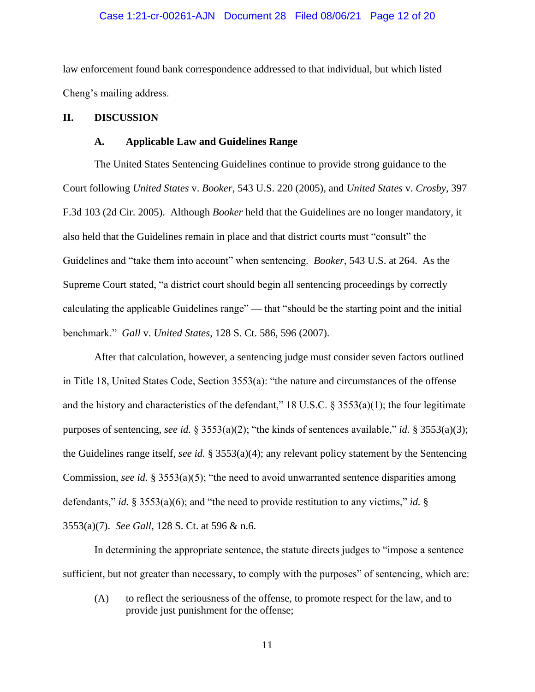### Case 1:21-cr-00261-AJN Document 28 Filed 08/06/21 Page 12 of 20

law enforcement found bank correspondence addressed to that individual, but which listed Cheng's mailing address.

#### **II. DISCUSSION**

### **A. Applicable Law and Guidelines Range**

The United States Sentencing Guidelines continue to provide strong guidance to the Court following *United States* v. *Booker*, 543 U.S. 220 (2005), and *United States* v. *Crosby*, 397 F.3d 103 (2d Cir. 2005). Although *Booker* held that the Guidelines are no longer mandatory, it also held that the Guidelines remain in place and that district courts must "consult" the Guidelines and "take them into account" when sentencing. *Booker*, 543 U.S. at 264. As the Supreme Court stated, "a district court should begin all sentencing proceedings by correctly calculating the applicable Guidelines range" — that "should be the starting point and the initial benchmark." *Gall* v. *United States*, 128 S. Ct. 586, 596 (2007).

After that calculation, however, a sentencing judge must consider seven factors outlined in Title 18, United States Code, Section 3553(a): "the nature and circumstances of the offense and the history and characteristics of the defendant," 18 U.S.C.  $\S$  3553(a)(1); the four legitimate purposes of sentencing, *see id.* § 3553(a)(2); "the kinds of sentences available," *id.* § 3553(a)(3); the Guidelines range itself, *see id.* § 3553(a)(4); any relevant policy statement by the Sentencing Commission, *see id.* § 3553(a)(5); "the need to avoid unwarranted sentence disparities among defendants," *id.* § 3553(a)(6); and "the need to provide restitution to any victims," *id.* § 3553(a)(7). *See Gall*, 128 S. Ct. at 596 & n.6.

In determining the appropriate sentence, the statute directs judges to "impose a sentence sufficient, but not greater than necessary, to comply with the purposes" of sentencing, which are:

(A) to reflect the seriousness of the offense, to promote respect for the law, and to provide just punishment for the offense;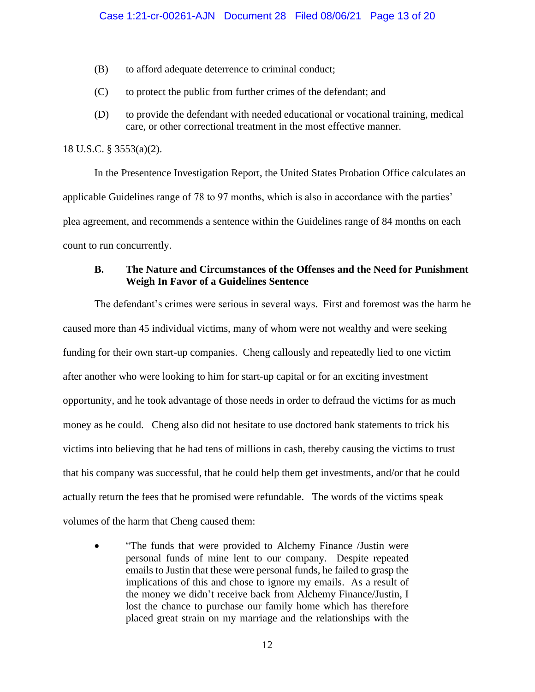- (B) to afford adequate deterrence to criminal conduct;
- (C) to protect the public from further crimes of the defendant; and
- (D) to provide the defendant with needed educational or vocational training, medical care, or other correctional treatment in the most effective manner.

## 18 U.S.C. § 3553(a)(2).

In the Presentence Investigation Report, the United States Probation Office calculates an applicable Guidelines range of 78 to 97 months, which is also in accordance with the parties' plea agreement, and recommends a sentence within the Guidelines range of 84 months on each count to run concurrently.

## **B. The Nature and Circumstances of the Offenses and the Need for Punishment Weigh In Favor of a Guidelines Sentence**

The defendant's crimes were serious in several ways. First and foremost was the harm he caused more than 45 individual victims, many of whom were not wealthy and were seeking funding for their own start-up companies. Cheng callously and repeatedly lied to one victim after another who were looking to him for start-up capital or for an exciting investment opportunity, and he took advantage of those needs in order to defraud the victims for as much money as he could. Cheng also did not hesitate to use doctored bank statements to trick his victims into believing that he had tens of millions in cash, thereby causing the victims to trust that his company was successful, that he could help them get investments, and/or that he could actually return the fees that he promised were refundable. The words of the victims speak volumes of the harm that Cheng caused them:

• "The funds that were provided to Alchemy Finance /Justin were personal funds of mine lent to our company. Despite repeated emails to Justin that these were personal funds, he failed to grasp the implications of this and chose to ignore my emails. As a result of the money we didn't receive back from Alchemy Finance/Justin, I lost the chance to purchase our family home which has therefore placed great strain on my marriage and the relationships with the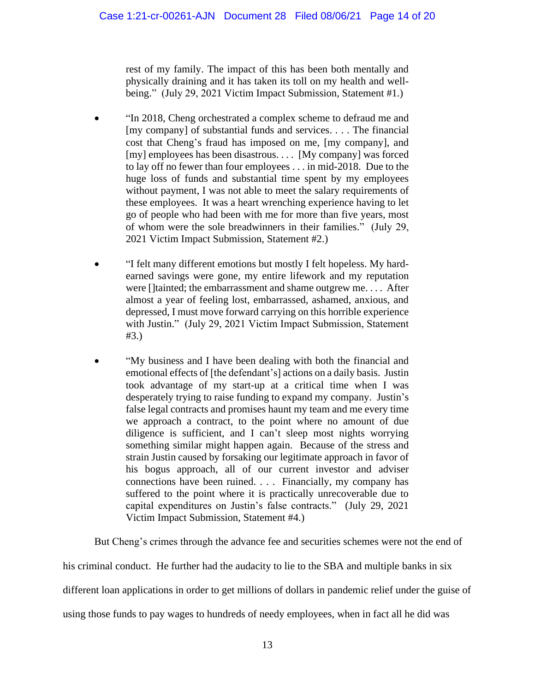rest of my family. The impact of this has been both mentally and physically draining and it has taken its toll on my health and wellbeing." (July 29, 2021 Victim Impact Submission, Statement #1.)

- "In 2018, Cheng orchestrated a complex scheme to defraud me and [my company] of substantial funds and services. . . . The financial cost that Cheng's fraud has imposed on me, [my company], and [my] employees has been disastrous. . . . [My company] was forced to lay off no fewer than four employees . . . in mid-2018. Due to the huge loss of funds and substantial time spent by my employees without payment, I was not able to meet the salary requirements of these employees. It was a heart wrenching experience having to let go of people who had been with me for more than five years, most of whom were the sole breadwinners in their families." (July 29, 2021 Victim Impact Submission, Statement #2.)
- "I felt many different emotions but mostly I felt hopeless. My hardearned savings were gone, my entire lifework and my reputation were []tainted; the embarrassment and shame outgrew me. . . . After almost a year of feeling lost, embarrassed, ashamed, anxious, and depressed, I must move forward carrying on this horrible experience with Justin." (July 29, 2021 Victim Impact Submission, Statement #3.)
- "My business and I have been dealing with both the financial and emotional effects of [the defendant's] actions on a daily basis. Justin took advantage of my start-up at a critical time when I was desperately trying to raise funding to expand my company. Justin's false legal contracts and promises haunt my team and me every time we approach a contract, to the point where no amount of due diligence is sufficient, and I can't sleep most nights worrying something similar might happen again. Because of the stress and strain Justin caused by forsaking our legitimate approach in favor of his bogus approach, all of our current investor and adviser connections have been ruined. . . . Financially, my company has suffered to the point where it is practically unrecoverable due to capital expenditures on Justin's false contracts." (July 29, 2021 Victim Impact Submission, Statement #4.)

But Cheng's crimes through the advance fee and securities schemes were not the end of

his criminal conduct. He further had the audacity to lie to the SBA and multiple banks in six

different loan applications in order to get millions of dollars in pandemic relief under the guise of

using those funds to pay wages to hundreds of needy employees, when in fact all he did was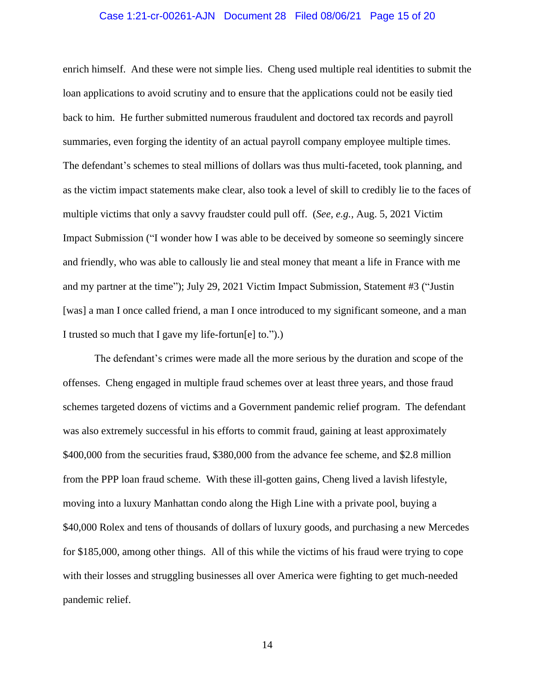#### Case 1:21-cr-00261-AJN Document 28 Filed 08/06/21 Page 15 of 20

enrich himself. And these were not simple lies. Cheng used multiple real identities to submit the loan applications to avoid scrutiny and to ensure that the applications could not be easily tied back to him. He further submitted numerous fraudulent and doctored tax records and payroll summaries, even forging the identity of an actual payroll company employee multiple times. The defendant's schemes to steal millions of dollars was thus multi-faceted, took planning, and as the victim impact statements make clear, also took a level of skill to credibly lie to the faces of multiple victims that only a savvy fraudster could pull off. (*See, e.g.,* Aug. 5, 2021 Victim Impact Submission ("I wonder how I was able to be deceived by someone so seemingly sincere and friendly, who was able to callously lie and steal money that meant a life in France with me and my partner at the time"); July 29, 2021 Victim Impact Submission, Statement #3 ("Justin [was] a man I once called friend, a man I once introduced to my significant someone, and a man I trusted so much that I gave my life-fortun[e] to.").)

The defendant's crimes were made all the more serious by the duration and scope of the offenses. Cheng engaged in multiple fraud schemes over at least three years, and those fraud schemes targeted dozens of victims and a Government pandemic relief program. The defendant was also extremely successful in his efforts to commit fraud, gaining at least approximately \$400,000 from the securities fraud, \$380,000 from the advance fee scheme, and \$2.8 million from the PPP loan fraud scheme. With these ill-gotten gains, Cheng lived a lavish lifestyle, moving into a luxury Manhattan condo along the High Line with a private pool, buying a \$40,000 Rolex and tens of thousands of dollars of luxury goods, and purchasing a new Mercedes for \$185,000, among other things. All of this while the victims of his fraud were trying to cope with their losses and struggling businesses all over America were fighting to get much-needed pandemic relief.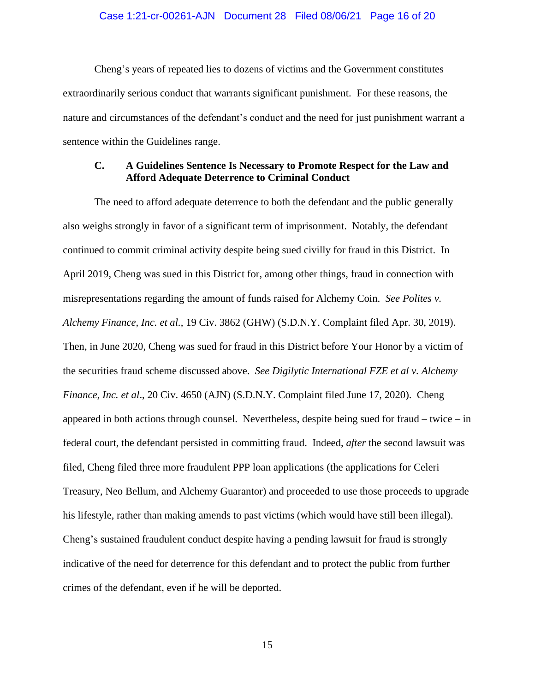#### Case 1:21-cr-00261-AJN Document 28 Filed 08/06/21 Page 16 of 20

Cheng's years of repeated lies to dozens of victims and the Government constitutes extraordinarily serious conduct that warrants significant punishment. For these reasons, the nature and circumstances of the defendant's conduct and the need for just punishment warrant a sentence within the Guidelines range.

## **C. A Guidelines Sentence Is Necessary to Promote Respect for the Law and Afford Adequate Deterrence to Criminal Conduct**

The need to afford adequate deterrence to both the defendant and the public generally also weighs strongly in favor of a significant term of imprisonment. Notably, the defendant continued to commit criminal activity despite being sued civilly for fraud in this District. In April 2019, Cheng was sued in this District for, among other things, fraud in connection with misrepresentations regarding the amount of funds raised for Alchemy Coin. *See Polites v. Alchemy Finance, Inc. et al.*, 19 Civ. 3862 (GHW) (S.D.N.Y. Complaint filed Apr. 30, 2019). Then, in June 2020, Cheng was sued for fraud in this District before Your Honor by a victim of the securities fraud scheme discussed above. *See Digilytic International FZE et al v. Alchemy Finance, Inc. et al*., 20 Civ. 4650 (AJN) (S.D.N.Y. Complaint filed June 17, 2020). Cheng appeared in both actions through counsel. Nevertheless, despite being sued for fraud – twice – in federal court, the defendant persisted in committing fraud. Indeed, *after* the second lawsuit was filed, Cheng filed three more fraudulent PPP loan applications (the applications for Celeri Treasury, Neo Bellum, and Alchemy Guarantor) and proceeded to use those proceeds to upgrade his lifestyle, rather than making amends to past victims (which would have still been illegal). Cheng's sustained fraudulent conduct despite having a pending lawsuit for fraud is strongly indicative of the need for deterrence for this defendant and to protect the public from further crimes of the defendant, even if he will be deported.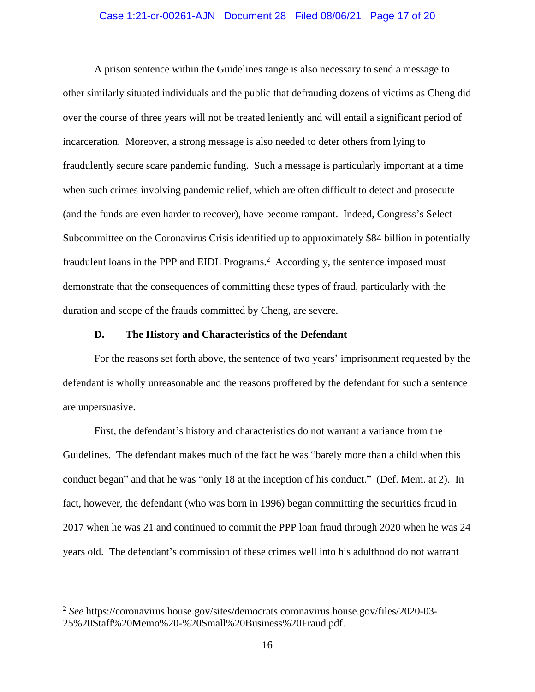### Case 1:21-cr-00261-AJN Document 28 Filed 08/06/21 Page 17 of 20

A prison sentence within the Guidelines range is also necessary to send a message to other similarly situated individuals and the public that defrauding dozens of victims as Cheng did over the course of three years will not be treated leniently and will entail a significant period of incarceration. Moreover, a strong message is also needed to deter others from lying to fraudulently secure scare pandemic funding. Such a message is particularly important at a time when such crimes involving pandemic relief, which are often difficult to detect and prosecute (and the funds are even harder to recover), have become rampant. Indeed, Congress's Select Subcommittee on the Coronavirus Crisis identified up to approximately \$84 billion in potentially fraudulent loans in the PPP and EIDL Programs.<sup>2</sup> Accordingly, the sentence imposed must demonstrate that the consequences of committing these types of fraud, particularly with the duration and scope of the frauds committed by Cheng, are severe.

### **D. The History and Characteristics of the Defendant**

For the reasons set forth above, the sentence of two years' imprisonment requested by the defendant is wholly unreasonable and the reasons proffered by the defendant for such a sentence are unpersuasive.

First, the defendant's history and characteristics do not warrant a variance from the Guidelines. The defendant makes much of the fact he was "barely more than a child when this conduct began" and that he was "only 18 at the inception of his conduct." (Def. Mem. at 2). In fact, however, the defendant (who was born in 1996) began committing the securities fraud in 2017 when he was 21 and continued to commit the PPP loan fraud through 2020 when he was 24 years old. The defendant's commission of these crimes well into his adulthood do not warrant

<sup>2</sup> *See* https://coronavirus.house.gov/sites/democrats.coronavirus.house.gov/files/2020-03- 25%20Staff%20Memo%20-%20Small%20Business%20Fraud.pdf.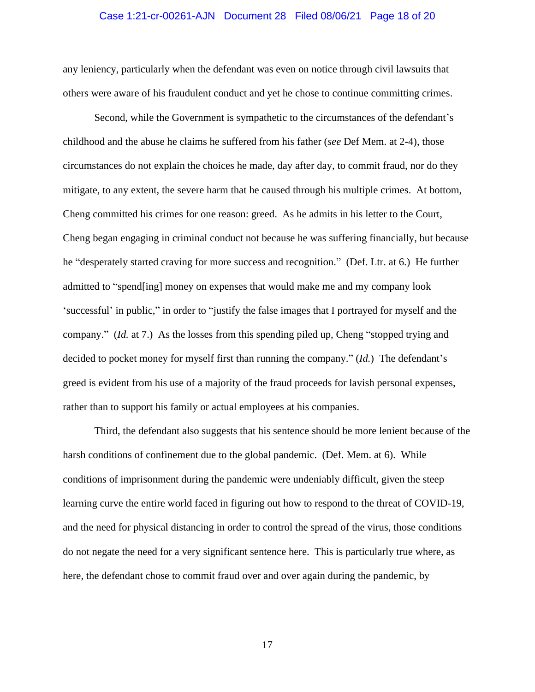#### Case 1:21-cr-00261-AJN Document 28 Filed 08/06/21 Page 18 of 20

any leniency, particularly when the defendant was even on notice through civil lawsuits that others were aware of his fraudulent conduct and yet he chose to continue committing crimes.

Second, while the Government is sympathetic to the circumstances of the defendant's childhood and the abuse he claims he suffered from his father (*see* Def Mem. at 2-4), those circumstances do not explain the choices he made, day after day, to commit fraud, nor do they mitigate, to any extent, the severe harm that he caused through his multiple crimes. At bottom, Cheng committed his crimes for one reason: greed. As he admits in his letter to the Court, Cheng began engaging in criminal conduct not because he was suffering financially, but because he "desperately started craving for more success and recognition." (Def. Ltr. at 6.) He further admitted to "spend[ing] money on expenses that would make me and my company look 'successful' in public," in order to "justify the false images that I portrayed for myself and the company." (*Id.* at 7.) As the losses from this spending piled up, Cheng "stopped trying and decided to pocket money for myself first than running the company." (*Id.*) The defendant's greed is evident from his use of a majority of the fraud proceeds for lavish personal expenses, rather than to support his family or actual employees at his companies.

Third, the defendant also suggests that his sentence should be more lenient because of the harsh conditions of confinement due to the global pandemic. (Def. Mem. at 6). While conditions of imprisonment during the pandemic were undeniably difficult, given the steep learning curve the entire world faced in figuring out how to respond to the threat of COVID-19, and the need for physical distancing in order to control the spread of the virus, those conditions do not negate the need for a very significant sentence here. This is particularly true where, as here, the defendant chose to commit fraud over and over again during the pandemic, by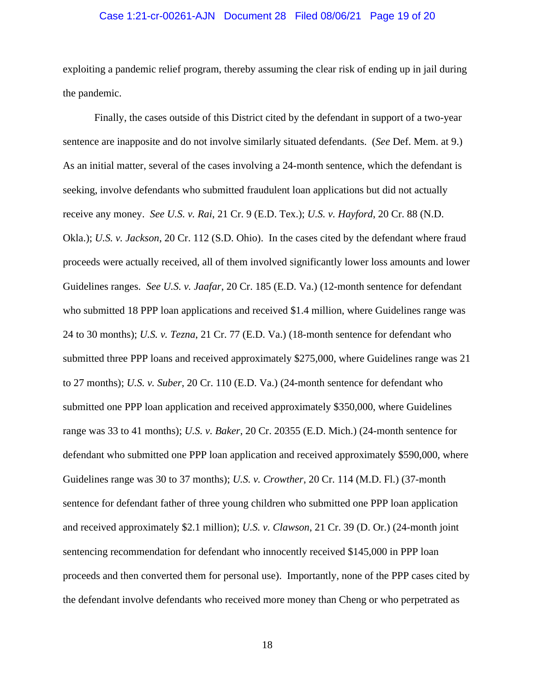### Case 1:21-cr-00261-AJN Document 28 Filed 08/06/21 Page 19 of 20

exploiting a pandemic relief program, thereby assuming the clear risk of ending up in jail during the pandemic.

Finally, the cases outside of this District cited by the defendant in support of a two-year sentence are inapposite and do not involve similarly situated defendants. (*See* Def. Mem. at 9.) As an initial matter, several of the cases involving a 24-month sentence, which the defendant is seeking, involve defendants who submitted fraudulent loan applications but did not actually receive any money. *See U.S. v. Rai*, 21 Cr. 9 (E.D. Tex.); *U.S. v. Hayford*, 20 Cr. 88 (N.D. Okla.); *U.S. v. Jackson*, 20 Cr. 112 (S.D. Ohio). In the cases cited by the defendant where fraud proceeds were actually received, all of them involved significantly lower loss amounts and lower Guidelines ranges. *See U.S. v. Jaafar*, 20 Cr. 185 (E.D. Va.) (12-month sentence for defendant who submitted 18 PPP loan applications and received \$1.4 million, where Guidelines range was 24 to 30 months); *U.S. v. Tezna*, 21 Cr. 77 (E.D. Va.) (18-month sentence for defendant who submitted three PPP loans and received approximately \$275,000, where Guidelines range was 21 to 27 months); *U.S. v. Suber*, 20 Cr. 110 (E.D. Va.) (24-month sentence for defendant who submitted one PPP loan application and received approximately \$350,000, where Guidelines range was 33 to 41 months); *U.S. v. Baker*, 20 Cr. 20355 (E.D. Mich.) (24-month sentence for defendant who submitted one PPP loan application and received approximately \$590,000, where Guidelines range was 30 to 37 months); *U.S. v. Crowther*, 20 Cr. 114 (M.D. Fl.) (37-month sentence for defendant father of three young children who submitted one PPP loan application and received approximately \$2.1 million); *U.S. v. Clawson*, 21 Cr. 39 (D. Or.) (24-month joint sentencing recommendation for defendant who innocently received \$145,000 in PPP loan proceeds and then converted them for personal use). Importantly, none of the PPP cases cited by the defendant involve defendants who received more money than Cheng or who perpetrated as